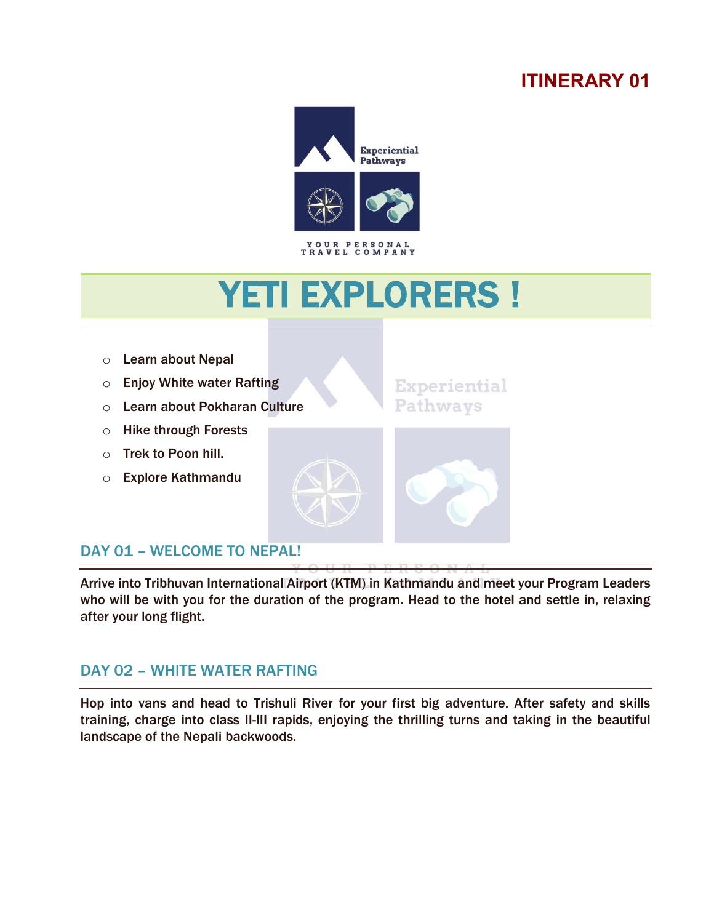# **ITINERARY 01**



# YETI EXPLORERS !



# DAY 01 - WELCOME TO NEPAL!

í

l

Arrive into Tribhuvan International Airport (KTM) in Kathmandu and meet your Program Leaders who will be with you for the duration of the program. Head to the hotel and settle in, relaxing after your long flight.

## DAY 02 – WHITE WATER RAFTING

Hop into vans and head to Trishuli River for your first big adventure. After safety and skills training, charge into class II-III rapids, enjoying the thrilling turns and taking in the beautiful landscape of the Nepali backwoods.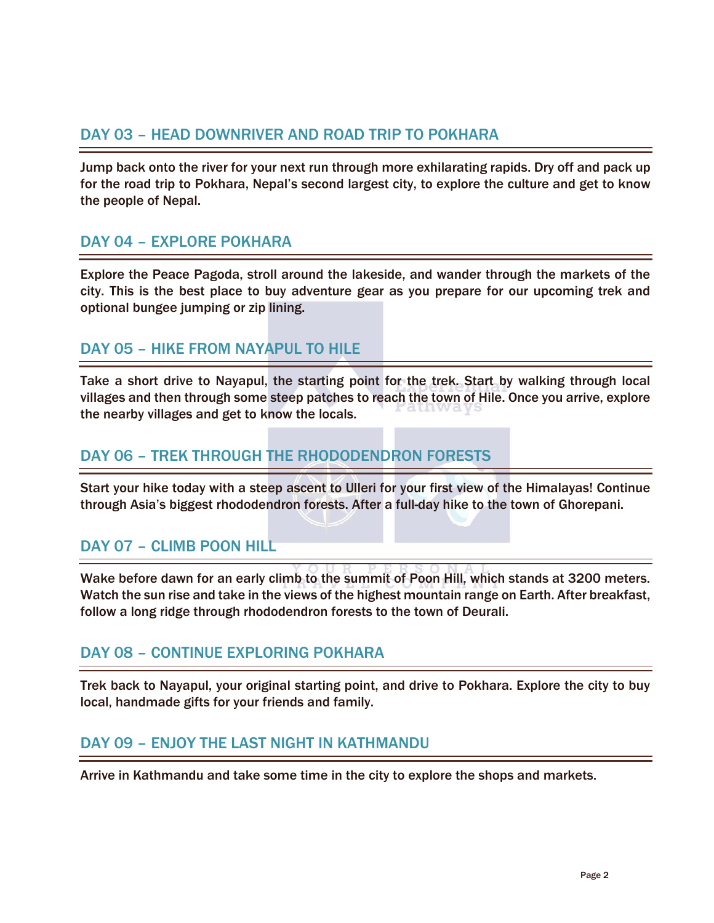#### DAY 03 – HEAD DOWNRIVER AND ROAD TRIP TO POKHARA

Jump back onto the river for your next run through more exhilarating rapids. Dry off and pack up for the road trip to Pokhara, Nepal's second largest city, to explore the culture and get to know the people of Nepal.

## DAY 04 – EXPLORE POKHARA

Explore the Peace Pagoda, stroll around the lakeside, and wander through the markets of the city. This is the best place to buy adventure gear as you prepare for our upcoming trek and optional bungee jumping or zip lining.

## DAY 05 – HIKE FROM NAYAPUL TO HILE

Take a short drive to Nayapul, the starting point for the trek. Start by walking through local villages and then through some steep patches to reach the town of Hile. Once you arrive, explore the nearby villages and get to know the locals.

#### DAY 06 – TREK THROUGH THE RHODODENDRON FORESTS

Start your hike today with a steep ascent to Ulleri for your first view of the Himalayas! Continue through Asia's biggest rhododendron forests. After a full-day hike to the town of Ghorepani.

## DAY 07 – CLIMB POON HILL

Wake before dawn for an early climb to the summit of Poon Hill, which stands at 3200 meters. Watch the sun rise and take in the views of the highest mountain range on Earth. After breakfast, follow a long ridge through rhododendron forests to the town of Deurali.

#### DAY 08 – CONTINUE EXPLORING POKHARA

Trek back to Nayapul, your original starting point, and drive to Pokhara. Explore the city to buy local, handmade gifts for your friends and family.

#### DAY 09 – ENJOY THE LAST NIGHT IN KATHMANDU

Arrive in Kathmandu and take some time in the city to explore the shops and markets.